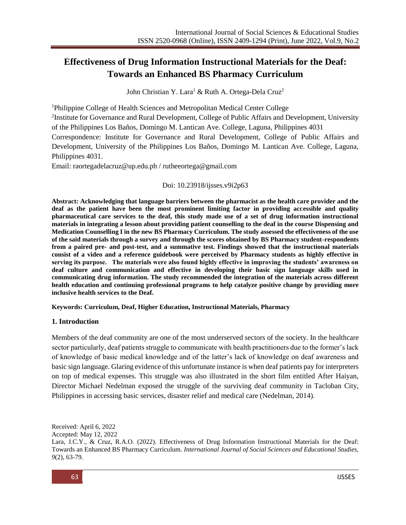# **Effectiveness of Drug Information Instructional Materials for the Deaf: Towards an Enhanced BS Pharmacy Curriculum**

John Christian Y. Lara<sup>1</sup> & Ruth A. Ortega-Dela Cruz<sup>2</sup>

<sup>1</sup>Philippine College of Health Sciences and Metropolitan Medical Center College

<sup>2</sup>Institute for Governance and Rural Development, College of Public Affairs and Development, University

of the Philippines Los Baños, Domingo M. Lantican Ave. College, Laguna, Philippines 4031

Correspondence: Institute for Governance and Rural Development, College of Public Affairs and Development, University of the Philippines Los Baños, Domingo M. Lantican Ave. College, Laguna, Philippines 4031.

Email: [raortegadelacruz@up.edu.ph](mailto:raortegadelacruz@up.edu.ph) / [rutheeortega@gmail.com](mailto:rutheeortega@gmail.com)

#### Doi: 10.23918/ijsses.v9i2p63

**Abstract: Acknowledging that language barriers between the pharmacist as the health care provider and the deaf as the patient have been the most prominent limiting factor in providing accessible and quality pharmaceutical care services to the deaf, this study made use of a set of drug information instructional materials in integrating a lesson about providing patient counselling to the deaf in the course Dispensing and Medication Counselling I in the new BS Pharmacy Curriculum. The study assessed the effectiveness of the use of the said materials through a survey and through the scores obtained by BS Pharmacy student-respondents from a paired pre- and post-test, and a summative test. Findings showed that the instructional materials consist of a video and a reference guidebook were perceived by Pharmacy students as highly effective in serving its purpose. The materials were also found highly effective in improving the students' awareness on deaf culture and communication and effective in developing their basic sign language skills used in communicating drug information. The study recommended the integration of the materials across different health education and continuing professional programs to help catalyze positive change by providing more inclusive health services to the Deaf.** 

#### **Keywords: Curriculum, Deaf, Higher Education, Instructional Materials, Pharmacy**

#### **1. Introduction**

Members of the deaf community are one of the most underserved sectors of the society. In the healthcare sector particularly, deaf patients struggle to communicate with health practitioners due to the former's lack of knowledge of basic medical knowledge and of the latter's lack of knowledge on deaf awareness and basic sign language. Glaring evidence of this unfortunate instance is when deaf patients pay for interpreters on top of medical expenses. This struggle was also illustrated in the short film entitled After Haiyan, Director Michael Nedelman exposed the struggle of the surviving deaf community in Tacloban City, Philippines in accessing basic services, disaster relief and medical care (Nedelman, 2014).

Received: April 6, 2022

Accepted: May 12, 2022

Lara, J.C.Y., & Cruz, R.A.O. (2022). Effectiveness of Drug Information Instructional Materials for the Deaf: Towards an Enhanced BS Pharmacy Curriculum. *International Journal of Social Sciences and Educational Studies, 9*(2), 63-79.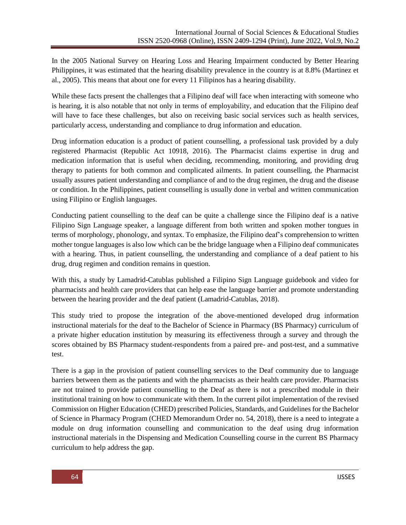In the 2005 National Survey on Hearing Loss and Hearing Impairment conducted by Better Hearing Philippines, it was estimated that the hearing disability prevalence in the country is at 8.8% (Martinez et al., 2005). This means that about one for every 11 Filipinos has a hearing disability.

While these facts present the challenges that a Filipino deaf will face when interacting with someone who is hearing, it is also notable that not only in terms of employability, and education that the Filipino deaf will have to face these challenges, but also on receiving basic social services such as health services, particularly access, understanding and compliance to drug information and education.

Drug information education is a product of patient counselling, a professional task provided by a duly registered Pharmacist (Republic Act 10918, 2016). The Pharmacist claims expertise in drug and medication information that is useful when deciding, recommending, monitoring, and providing drug therapy to patients for both common and complicated ailments. In patient counselling, the Pharmacist usually assures patient understanding and compliance of and to the drug regimen, the drug and the disease or condition. In the Philippines, patient counselling is usually done in verbal and written communication using Filipino or English languages.

Conducting patient counselling to the deaf can be quite a challenge since the Filipino deaf is a native Filipino Sign Language speaker, a language different from both written and spoken mother tongues in terms of morphology, phonology, and syntax. To emphasize, the Filipino deaf's comprehension to written mother tongue languages is also low which can be the bridge language when a Filipino deaf communicates with a hearing. Thus, in patient counselling, the understanding and compliance of a deaf patient to his drug, drug regimen and condition remains in question.

With this, a study by Lamadrid-Catublas published a Filipino Sign Language guidebook and video for pharmacists and health care providers that can help ease the language barrier and promote understanding between the hearing provider and the deaf patient (Lamadrid-Catublas, 2018).

This study tried to propose the integration of the above-mentioned developed drug information instructional materials for the deaf to the Bachelor of Science in Pharmacy (BS Pharmacy) curriculum of a private higher education institution by measuring its effectiveness through a survey and through the scores obtained by BS Pharmacy student-respondents from a paired pre- and post-test, and a summative test.

There is a gap in the provision of patient counselling services to the Deaf community due to language barriers between them as the patients and with the pharmacists as their health care provider. Pharmacists are not trained to provide patient counselling to the Deaf as there is not a prescribed module in their institutional training on how to communicate with them. In the current pilot implementation of the revised Commission on Higher Education (CHED) prescribed Policies, Standards, and Guidelines for the Bachelor of Science in Pharmacy Program (CHED Memorandum Order no. 54, 2018), there is a need to integrate a module on drug information counselling and communication to the deaf using drug information instructional materials in the Dispensing and Medication Counselling course in the current BS Pharmacy curriculum to help address the gap.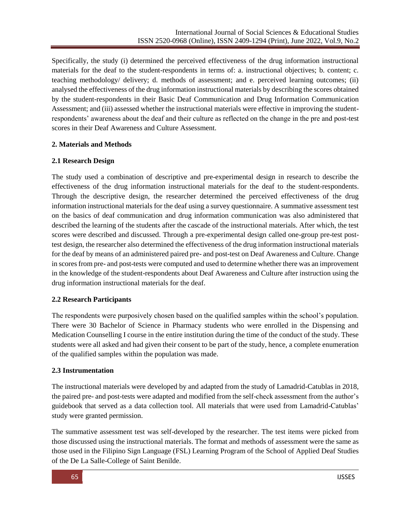Specifically, the study (i) determined the perceived effectiveness of the drug information instructional materials for the deaf to the student-respondents in terms of: a. instructional objectives; b. content; c. teaching methodology/ delivery; d. methods of assessment; and e. perceived learning outcomes; (ii) analysed the effectiveness of the drug information instructional materials by describing the scores obtained by the student-respondents in their Basic Deaf Communication and Drug Information Communication Assessment; and (iii) assessed whether the instructional materials were effective in improving the studentrespondents' awareness about the deaf and their culture as reflected on the change in the pre and post-test scores in their Deaf Awareness and Culture Assessment.

## **2. Materials and Methods**

## **2.1 Research Design**

The study used a combination of descriptive and pre-experimental design in research to describe the effectiveness of the drug information instructional materials for the deaf to the student-respondents. Through the descriptive design, the researcher determined the perceived effectiveness of the drug information instructional materials for the deaf using a survey questionnaire. A summative assessment test on the basics of deaf communication and drug information communication was also administered that described the learning of the students after the cascade of the instructional materials. After which, the test scores were described and discussed. Through a pre-experimental design called one-group pre-test posttest design, the researcher also determined the effectiveness of the drug information instructional materials for the deaf by means of an administered paired pre- and post-test on Deaf Awareness and Culture. Change in scores from pre- and post-tests were computed and used to determine whether there was an improvement in the knowledge of the student-respondents about Deaf Awareness and Culture after instruction using the drug information instructional materials for the deaf.

# **2.2 Research Participants**

The respondents were purposively chosen based on the qualified samples within the school's population. There were 30 Bachelor of Science in Pharmacy students who were enrolled in the Dispensing and Medication Counselling I course in the entire institution during the time of the conduct of the study. These students were all asked and had given their consent to be part of the study, hence, a complete enumeration of the qualified samples within the population was made.

# **2.3 Instrumentation**

The instructional materials were developed by and adapted from the study of Lamadrid-Catublas in 2018, the paired pre- and post-tests were adapted and modified from the self-check assessment from the author's guidebook that served as a data collection tool. All materials that were used from Lamadrid-Catublas' study were granted permission.

The summative assessment test was self-developed by the researcher. The test items were picked from those discussed using the instructional materials. The format and methods of assessment were the same as those used in the Filipino Sign Language (FSL) Learning Program of the School of Applied Deaf Studies of the De La Salle-College of Saint Benilde.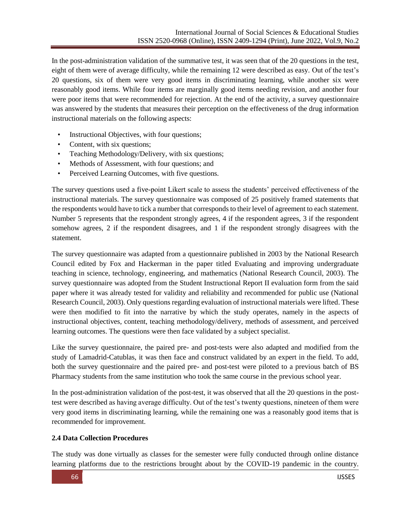In the post-administration validation of the summative test, it was seen that of the 20 questions in the test, eight of them were of average difficulty, while the remaining 12 were described as easy. Out of the test's 20 questions, six of them were very good items in discriminating learning, while another six were reasonably good items. While four items are marginally good items needing revision, and another four were poor items that were recommended for rejection. At the end of the activity, a survey questionnaire was answered by the students that measures their perception on the effectiveness of the drug information instructional materials on the following aspects:

- Instructional Objectives, with four questions;
- Content, with six questions;
- Teaching Methodology/Delivery, with six questions;
- Methods of Assessment, with four questions; and
- Perceived Learning Outcomes, with five questions.

The survey questions used a five-point Likert scale to assess the students' perceived effectiveness of the instructional materials. The survey questionnaire was composed of 25 positively framed statements that the respondents would have to tick a number that corresponds to their level of agreement to each statement. Number 5 represents that the respondent strongly agrees, 4 if the respondent agrees, 3 if the respondent somehow agrees, 2 if the respondent disagrees, and 1 if the respondent strongly disagrees with the statement.

The survey questionnaire was adapted from a questionnaire published in 2003 by the National Research Council edited by Fox and Hackerman in the paper titled Evaluating and improving undergraduate teaching in science, technology, engineering, and mathematics (National Research Council, 2003). The survey questionnaire was adopted from the Student Instructional Report II evaluation form from the said paper where it was already tested for validity and reliability and recommended for public use (National Research Council, 2003). Only questions regarding evaluation of instructional materials were lifted. These were then modified to fit into the narrative by which the study operates, namely in the aspects of instructional objectives, content, teaching methodology/delivery, methods of assessment, and perceived learning outcomes. The questions were then face validated by a subject specialist.

Like the survey questionnaire, the paired pre- and post-tests were also adapted and modified from the study of Lamadrid-Catublas, it was then face and construct validated by an expert in the field. To add, both the survey questionnaire and the paired pre- and post-test were piloted to a previous batch of BS Pharmacy students from the same institution who took the same course in the previous school year.

In the post-administration validation of the post-test, it was observed that all the 20 questions in the posttest were described as having average difficulty. Out of the test's twenty questions, nineteen of them were very good items in discriminating learning, while the remaining one was a reasonably good items that is recommended for improvement.

#### **2.4 Data Collection Procedures**

The study was done virtually as classes for the semester were fully conducted through online distance learning platforms due to the restrictions brought about by the COVID-19 pandemic in the country.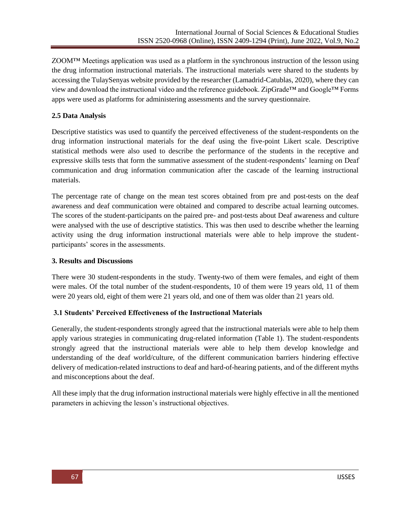ZOOM™ Meetings application was used as a platform in the synchronous instruction of the lesson using the drug information instructional materials. The instructional materials were shared to the students by accessing the TulaySenyas website provided by the researcher (Lamadrid-Catublas, 2020), where they can view and download the instructional video and the reference guidebook. ZipGrade™ and Google™ Forms apps were used as platforms for administering assessments and the survey questionnaire.

# **2.5 Data Analysis**

Descriptive statistics was used to quantify the perceived effectiveness of the student-respondents on the drug information instructional materials for the deaf using the five-point Likert scale. Descriptive statistical methods were also used to describe the performance of the students in the receptive and expressive skills tests that form the summative assessment of the student-respondents' learning on Deaf communication and drug information communication after the cascade of the learning instructional materials.

The percentage rate of change on the mean test scores obtained from pre and post-tests on the deaf awareness and deaf communication were obtained and compared to describe actual learning outcomes. The scores of the student-participants on the paired pre- and post-tests about Deaf awareness and culture were analysed with the use of descriptive statistics. This was then used to describe whether the learning activity using the drug information instructional materials were able to help improve the studentparticipants' scores in the assessments.

#### **3. Results and Discussions**

There were 30 student-respondents in the study. Twenty-two of them were females, and eight of them were males. Of the total number of the student-respondents, 10 of them were 19 years old, 11 of them were 20 years old, eight of them were 21 years old, and one of them was older than 21 years old.

#### **3.1 Students' Perceived Effectiveness of the Instructional Materials**

Generally, the student-respondents strongly agreed that the instructional materials were able to help them apply various strategies in communicating drug-related information (Table 1). The student-respondents strongly agreed that the instructional materials were able to help them develop knowledge and understanding of the deaf world/culture, of the different communication barriers hindering effective delivery of medication-related instructions to deaf and hard-of-hearing patients, and of the different myths and misconceptions about the deaf.

All these imply that the drug information instructional materials were highly effective in all the mentioned parameters in achieving the lesson's instructional objectives.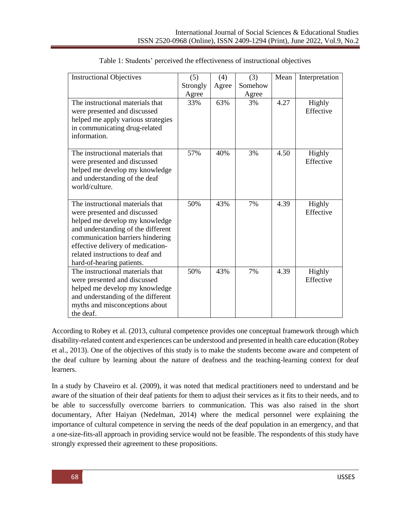| <b>Instructional Objectives</b>                                                                                                                                                                                                                                                    | (5)      | (4)   | (3)     | Mean | Interpretation      |
|------------------------------------------------------------------------------------------------------------------------------------------------------------------------------------------------------------------------------------------------------------------------------------|----------|-------|---------|------|---------------------|
|                                                                                                                                                                                                                                                                                    | Strongly | Agree | Somehow |      |                     |
|                                                                                                                                                                                                                                                                                    | Agree    |       | Agree   |      |                     |
| The instructional materials that<br>were presented and discussed                                                                                                                                                                                                                   | 33%      | 63%   | 3%      | 4.27 | Highly<br>Effective |
| helped me apply various strategies                                                                                                                                                                                                                                                 |          |       |         |      |                     |
| in communicating drug-related                                                                                                                                                                                                                                                      |          |       |         |      |                     |
| information.                                                                                                                                                                                                                                                                       |          |       |         |      |                     |
| The instructional materials that<br>were presented and discussed<br>helped me develop my knowledge<br>and understanding of the deaf<br>world/culture.                                                                                                                              | 57%      | 40%   | 3%      | 4.50 | Highly<br>Effective |
| The instructional materials that<br>were presented and discussed<br>helped me develop my knowledge<br>and understanding of the different<br>communication barriers hindering<br>effective delivery of medication-<br>related instructions to deaf and<br>hard-of-hearing patients. | 50%      | 43%   | 7%      | 4.39 | Highly<br>Effective |
| The instructional materials that<br>were presented and discussed<br>helped me develop my knowledge<br>and understanding of the different<br>myths and misconceptions about<br>the deaf.                                                                                            | 50%      | 43%   | 7%      | 4.39 | Highly<br>Effective |

| Table 1: Students' perceived the effectiveness of instructional objectives |  |  |
|----------------------------------------------------------------------------|--|--|
|                                                                            |  |  |

According to Robey et al. (2013, cultural competence provides one conceptual framework through which disability-related content and experiences can be understood and presented in health care education (Robey et al., 2013). One of the objectives of this study is to make the students become aware and competent of the deaf culture by learning about the nature of deafness and the teaching-learning context for deaf learners.

In a study by Chaveiro et al. (2009), it was noted that medical practitioners need to understand and be aware of the situation of their deaf patients for them to adjust their services as it fits to their needs, and to be able to successfully overcome barriers to communication. This was also raised in the short documentary, After Haiyan (Nedelman, 2014) where the medical personnel were explaining the importance of cultural competence in serving the needs of the deaf population in an emergency, and that a one-size-fits-all approach in providing service would not be feasible. The respondents of this study have strongly expressed their agreement to these propositions.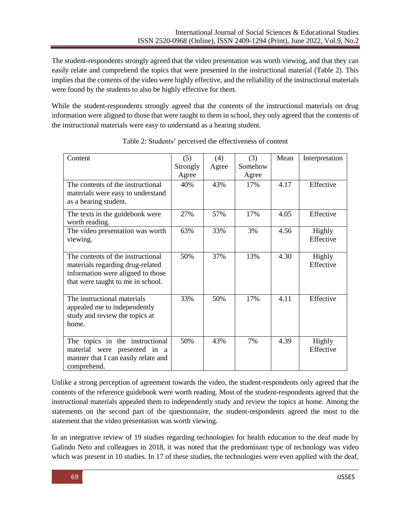The student-respondents strongly agreed that the video presentation was worth viewing, and that they can easily relate and comprehend the topics that were presented in the instructional material (Table 2). This implies that the contents of the video were highly effective, and the reliability of the instructional materials were found by the students to also be highly effective for them.

While the student-respondents strongly agreed that the contents of the instructional materials on drug information were aligned to those that were taught to them in school, they only agreed that the contents of the instructional materials were easy to understand as a hearing student.

| Content                             | (5)      | (4)   | (3)     | Mean | Interpretation |
|-------------------------------------|----------|-------|---------|------|----------------|
|                                     | Strongly | Agree | Somehow |      |                |
|                                     | Agree    |       | Agree   |      |                |
| The contents of the instructional   | 40%      | 43%   | 17%     | 4.17 | Effective      |
| materials were easy to understand   |          |       |         |      |                |
| as a hearing student.               |          |       |         |      |                |
| The texts in the guidebook were     | 27%      | 57%   | 17%     | 4.05 | Effective      |
| worth reading.                      |          |       |         |      |                |
| The video presentation was worth    | 63%      | 33%   | 3%      | 4.56 | Highly         |
| viewing.                            |          |       |         |      | Effective      |
|                                     |          |       |         |      |                |
| The contents of the instructional   | 50%      | 37%   | 13%     | 4.30 | Highly         |
| materials regarding drug-related    |          |       |         |      | Effective      |
| information were aligned to those   |          |       |         |      |                |
| that were taught to me in school.   |          |       |         |      |                |
| The instructional materials         | 33%      | 50%   | 17%     | 4.11 | Effective      |
| appealed me to independently        |          |       |         |      |                |
| study and review the topics at      |          |       |         |      |                |
| home.                               |          |       |         |      |                |
|                                     |          |       |         |      |                |
| The topics in the instructional     | 50%      | 43%   | 7%      | 4.39 | Highly         |
| material were presented in a        |          |       |         |      | Effective      |
| manner that I can easily relate and |          |       |         |      |                |
| comprehend.                         |          |       |         |      |                |

Table 2: Students' perceived the effectiveness of content

Unlike a strong perception of agreement towards the video, the student-respondents only agreed that the contents of the reference guidebook were worth reading. Most of the student-respondents agreed that the instructional materials appealed them to independently study and review the topics at home. Among the statements on the second part of the questionnaire, the student-respondents agreed the most to the statement that the video presentation was worth viewing.

In an integrative review of 19 studies regarding technologies for health education to the deaf made by Galindo Neto and colleagues in 2018, it was noted that the predominant type of technology was video which was present in 10 studies. In 17 of these studies, the technologies were even applied with the deaf,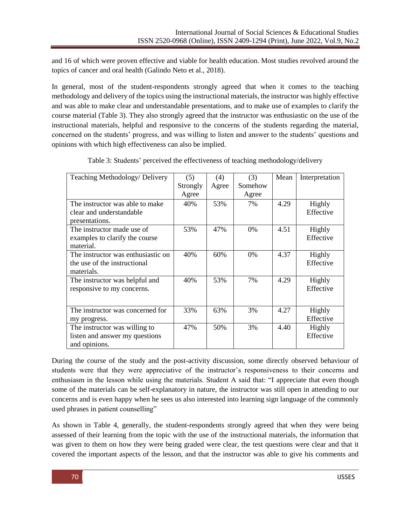and 16 of which were proven effective and viable for health education. Most studies revolved around the topics of cancer and oral health (Galindo Neto et al., 2018).

In general, most of the student-respondents strongly agreed that when it comes to the teaching methodology and delivery of the topics using the instructional materials, the instructor was highly effective and was able to make clear and understandable presentations, and to make use of examples to clarify the course material (Table 3). They also strongly agreed that the instructor was enthusiastic on the use of the instructional materials, helpful and responsive to the concerns of the students regarding the material, concerned on the students' progress, and was willing to listen and answer to the students' questions and opinions with which high effectiveness can also be implied.

| Teaching Methodology/ Delivery     | (5)      | (4)   | (3)     | Mean | Interpretation |
|------------------------------------|----------|-------|---------|------|----------------|
|                                    | Strongly | Agree | Somehow |      |                |
|                                    | Agree    |       | Agree   |      |                |
| The instructor was able to make    | 40%      | 53%   | 7%      | 4.29 | Highly         |
| clear and understandable           |          |       |         |      | Effective      |
| presentations.                     |          |       |         |      |                |
| The instructor made use of         | 53%      | 47%   | 0%      | 4.51 | Highly         |
| examples to clarify the course     |          |       |         |      | Effective      |
| material.                          |          |       |         |      |                |
| The instructor was enthusiastic on | 40%      | 60%   | 0%      | 4.37 | Highly         |
| the use of the instructional       |          |       |         |      | Effective      |
| materials.                         |          |       |         |      |                |
| The instructor was helpful and     | 40%      | 53%   | 7%      | 4.29 | Highly         |
| responsive to my concerns.         |          |       |         |      | Effective      |
|                                    |          |       |         |      |                |
| The instructor was concerned for   | 33%      | 63%   | 3%      | 4.27 | Highly         |
| my progress.                       |          |       |         |      | Effective      |
| The instructor was willing to      | 47%      | 50%   | 3%      | 4.40 | Highly         |
| listen and answer my questions     |          |       |         |      | Effective      |
| and opinions.                      |          |       |         |      |                |

Table 3: Students' perceived the effectiveness of teaching methodology/delivery

During the course of the study and the post-activity discussion, some directly observed behaviour of students were that they were appreciative of the instructor's responsiveness to their concerns and enthusiasm in the lesson while using the materials. Student A said that: "I appreciate that even though some of the materials can be self-explanatory in nature, the instructor was still open in attending to our concerns and is even happy when he sees us also interested into learning sign language of the commonly used phrases in patient counselling"

As shown in Table 4, generally, the student-respondents strongly agreed that when they were being assessed of their learning from the topic with the use of the instructional materials, the information that was given to them on how they were being graded were clear, the test questions were clear and that it covered the important aspects of the lesson, and that the instructor was able to give his comments and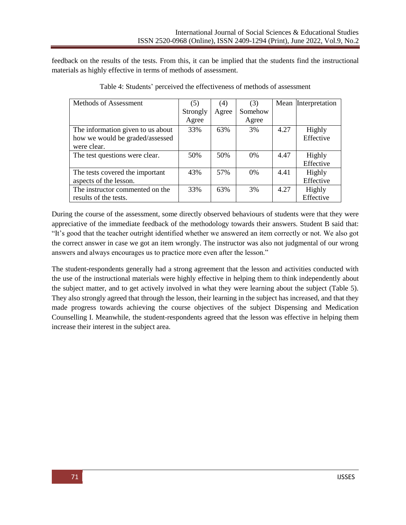feedback on the results of the tests. From this, it can be implied that the students find the instructional materials as highly effective in terms of methods of assessment.

| Methods of Assessment             | (5)      | (4)   | (3)     |      | Mean Interpretation |
|-----------------------------------|----------|-------|---------|------|---------------------|
|                                   | Strongly | Agree | Somehow |      |                     |
|                                   | Agree    |       | Agree   |      |                     |
| The information given to us about | 33%      | 63%   | 3%      | 4.27 | Highly              |
| how we would be graded/assessed   |          |       |         |      | Effective           |
| were clear.                       |          |       |         |      |                     |
| The test questions were clear.    | 50%      | 50%   | $0\%$   | 4.47 | Highly              |
|                                   |          |       |         |      | Effective           |
| The tests covered the important   | 43%      | 57%   | $0\%$   | 4.41 | Highly              |
| aspects of the lesson.            |          |       |         |      | Effective           |
| The instructor commented on the   | 33%      | 63%   | 3%      | 4.27 | Highly              |
| results of the tests.             |          |       |         |      | Effective           |

| Table 4: Students' perceived the effectiveness of methods of assessment |  |  |
|-------------------------------------------------------------------------|--|--|
|                                                                         |  |  |

During the course of the assessment, some directly observed behaviours of students were that they were appreciative of the immediate feedback of the methodology towards their answers. Student B said that: "It's good that the teacher outright identified whether we answered an item correctly or not. We also got the correct answer in case we got an item wrongly. The instructor was also not judgmental of our wrong answers and always encourages us to practice more even after the lesson."

The student-respondents generally had a strong agreement that the lesson and activities conducted with the use of the instructional materials were highly effective in helping them to think independently about the subject matter, and to get actively involved in what they were learning about the subject (Table 5). They also strongly agreed that through the lesson, their learning in the subject has increased, and that they made progress towards achieving the course objectives of the subject Dispensing and Medication Counselling I. Meanwhile, the student-respondents agreed that the lesson was effective in helping them increase their interest in the subject area.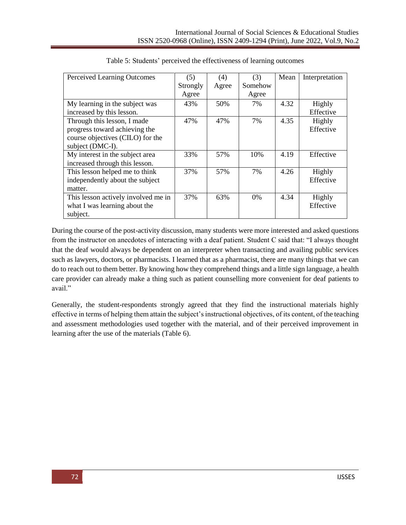| Perceived Learning Outcomes         | (5)      | (4)   | (3)     | Mean | Interpretation |
|-------------------------------------|----------|-------|---------|------|----------------|
|                                     | Strongly | Agree | Somehow |      |                |
|                                     | Agree    |       | Agree   |      |                |
| My learning in the subject was      | 43%      | 50%   | 7%      | 4.32 | Highly         |
| increased by this lesson.           |          |       |         |      | Effective      |
| Through this lesson, I made         | 47%      | 47%   | 7%      | 4.35 | Highly         |
| progress toward achieving the       |          |       |         |      | Effective      |
| course objectives (CILO) for the    |          |       |         |      |                |
| subject (DMC-I).                    |          |       |         |      |                |
| My interest in the subject area     | 33%      | 57%   | 10%     | 4.19 | Effective      |
| increased through this lesson.      |          |       |         |      |                |
| This lesson helped me to think      | 37%      | 57%   | 7%      | 4.26 | Highly         |
| independently about the subject     |          |       |         |      | Effective      |
| matter.                             |          |       |         |      |                |
| This lesson actively involved me in | 37%      | 63%   | $0\%$   | 4.34 | Highly         |
| what I was learning about the       |          |       |         |      | Effective      |
| subject.                            |          |       |         |      |                |

| Table 5: Students' perceived the effectiveness of learning outcomes |  |  |  |  |
|---------------------------------------------------------------------|--|--|--|--|
|---------------------------------------------------------------------|--|--|--|--|

During the course of the post-activity discussion, many students were more interested and asked questions from the instructor on anecdotes of interacting with a deaf patient. Student C said that: "I always thought that the deaf would always be dependent on an interpreter when transacting and availing public services such as lawyers, doctors, or pharmacists. I learned that as a pharmacist, there are many things that we can do to reach out to them better. By knowing how they comprehend things and a little sign language, a health care provider can already make a thing such as patient counselling more convenient for deaf patients to avail."

Generally, the student-respondents strongly agreed that they find the instructional materials highly effective in terms of helping them attain the subject's instructional objectives, of its content, of the teaching and assessment methodologies used together with the material, and of their perceived improvement in learning after the use of the materials (Table 6).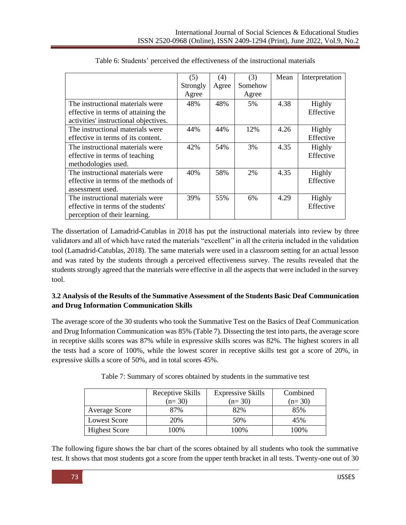|                                                                                                          | (5)      | (4)   | (3)     | Mean | Interpretation      |
|----------------------------------------------------------------------------------------------------------|----------|-------|---------|------|---------------------|
|                                                                                                          | Strongly | Agree | Somehow |      |                     |
|                                                                                                          | Agree    |       | Agree   |      |                     |
| The instructional materials were                                                                         | 48%      | 48%   | 5%      | 4.38 | Highly              |
| effective in terms of attaining the<br>activities' instructional objectives.                             |          |       |         |      | Effective           |
| The instructional materials were<br>effective in terms of its content.                                   | 44%      | 44%   | 12%     | 4.26 | Highly<br>Effective |
| The instructional materials were<br>effective in terms of teaching<br>methodologies used.                | 42%      | 54%   | 3%      | 4.35 | Highly<br>Effective |
| The instructional materials were<br>effective in terms of the methods of<br>assessment used.             | 40%      | 58%   | 2%      | 4.35 | Highly<br>Effective |
| The instructional materials were<br>effective in terms of the students'<br>perception of their learning. | 39%      | 55%   | 6%      | 4.29 | Highly<br>Effective |

Table 6: Students' perceived the effectiveness of the instructional materials

The dissertation of Lamadrid-Catublas in 2018 has put the instructional materials into review by three validators and all of which have rated the materials "excellent" in all the criteria included in the validation tool (Lamadrid-Catublas, 2018). The same materials were used in a classroom setting for an actual lesson and was rated by the students through a perceived effectiveness survey. The results revealed that the students strongly agreed that the materials were effective in all the aspects that were included in the survey tool.

# **3.2 Analysis of the Results of the Summative Assessment of the Students Basic Deaf Communication and Drug Information Communication Skills**

The average score of the 30 students who took the Summative Test on the Basics of Deaf Communication and Drug Information Communication was 85% (Table 7). Dissecting the test into parts, the average score in receptive skills scores was 87% while in expressive skills scores was 82%. The highest scorers in all the tests had a score of 100%, while the lowest scorer in receptive skills test got a score of 20%, in expressive skills a score of 50%, and in total scores 45%.

|                      | Receptive Skills<br>$(n=30)$ | <b>Expressive Skills</b><br>$(n=30)$ | Combined<br>$(n=30)$ |
|----------------------|------------------------------|--------------------------------------|----------------------|
| <b>Average Score</b> | 87%                          | 82%                                  | 85%                  |
| Lowest Score         | 20%                          | 50%                                  | 45%                  |
| <b>Highest Score</b> | 100%                         | 100%                                 | 100%                 |

Table 7: Summary of scores obtained by students in the summative test

The following figure shows the bar chart of the scores obtained by all students who took the summative test. It shows that most students got a score from the upper tenth bracket in all tests. Twenty-one out of 30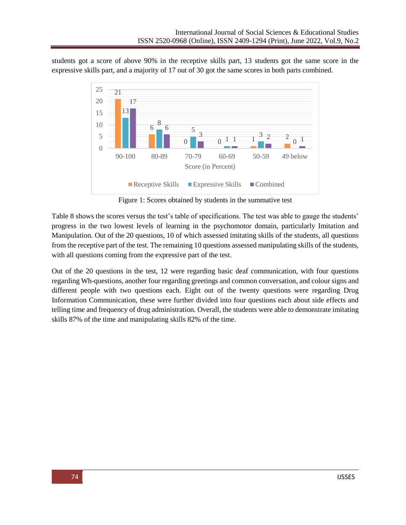students got a score of above 90% in the receptive skills part, 13 students got the same score in the expressive skills part, and a majority of 17 out of 30 got the same scores in both parts combined.



Figure 1: Scores obtained by students in the summative test

Table 8 shows the scores versus the test's table of specifications. The test was able to gauge the students' progress in the two lowest levels of learning in the psychomotor domain, particularly Imitation and Manipulation. Out of the 20 questions, 10 of which assessed imitating skills of the students, all questions from the receptive part of the test. The remaining 10 questions assessed manipulating skills of the students, with all questions coming from the expressive part of the test.

Out of the 20 questions in the test, 12 were regarding basic deaf communication, with four questions regarding Wh-questions, another four regarding greetings and common conversation, and colour signs and different people with two questions each. Eight out of the twenty questions were regarding Drug Information Communication, these were further divided into four questions each about side effects and telling time and frequency of drug administration. Overall, the students were able to demonstrate imitating skills 87% of the time and manipulating skills 82% of the time.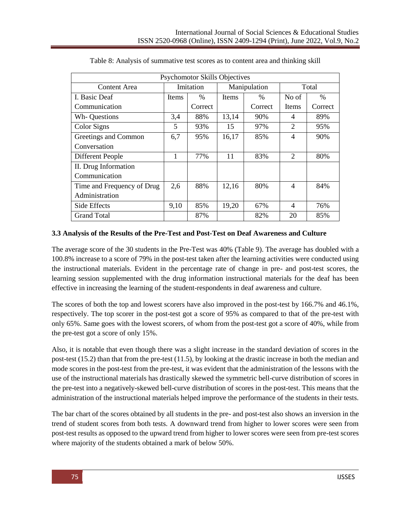| <b>Psychomotor Skills Objectives</b> |       |           |              |              |                |               |
|--------------------------------------|-------|-----------|--------------|--------------|----------------|---------------|
| Content Area                         |       | Imitation |              | Manipulation |                | Total         |
| I. Basic Deaf                        | Items | $\%$      | <b>Items</b> | $\%$         | No of          | $\frac{0}{0}$ |
| Communication                        |       | Correct   |              | Correct      | Items          | Correct       |
| Wh- Questions                        | 3,4   | 88%       | 13,14        | 90%          | 4              | 89%           |
| Color Signs                          | 5     | 93%       | 15           | 97%          | $\mathfrak{D}$ | 95%           |
| Greetings and Common                 | 6,7   | 95%       | 16,17        | 85%          | 4              | 90%           |
| Conversation                         |       |           |              |              |                |               |
| Different People                     | 1     | 77%       | 11           | 83%          | 2              | 80%           |
| II. Drug Information                 |       |           |              |              |                |               |
| Communication                        |       |           |              |              |                |               |
| Time and Frequency of Drug           | 2,6   | 88%       | 12,16        | 80%          | 4              | 84%           |
| Administration                       |       |           |              |              |                |               |
| Side Effects                         | 9,10  | 85%       | 19,20        | 67%          | 4              | 76%           |
| <b>Grand Total</b>                   |       | 87%       |              | 82%          | 20             | 85%           |

Table 8: Analysis of summative test scores as to content area and thinking skill

## **3.3 Analysis of the Results of the Pre-Test and Post-Test on Deaf Awareness and Culture**

The average score of the 30 students in the Pre-Test was 40% (Table 9). The average has doubled with a 100.8% increase to a score of 79% in the post-test taken after the learning activities were conducted using the instructional materials. Evident in the percentage rate of change in pre- and post-test scores, the learning session supplemented with the drug information instructional materials for the deaf has been effective in increasing the learning of the student-respondents in deaf awareness and culture.

The scores of both the top and lowest scorers have also improved in the post-test by 166.7% and 46.1%, respectively. The top scorer in the post-test got a score of 95% as compared to that of the pre-test with only 65%. Same goes with the lowest scorers, of whom from the post-test got a score of 40%, while from the pre-test got a score of only 15%.

Also, it is notable that even though there was a slight increase in the standard deviation of scores in the post-test (15.2) than that from the pre-test (11.5), by looking at the drastic increase in both the median and mode scores in the post-test from the pre-test, it was evident that the administration of the lessons with the use of the instructional materials has drastically skewed the symmetric bell-curve distribution of scores in the pre-test into a negatively-skewed bell-curve distribution of scores in the post-test. This means that the administration of the instructional materials helped improve the performance of the students in their tests.

The bar chart of the scores obtained by all students in the pre- and post-test also shows an inversion in the trend of student scores from both tests. A downward trend from higher to lower scores were seen from post-test results as opposed to the upward trend from higher to lower scores were seen from pre-test scores where majority of the students obtained a mark of below 50%.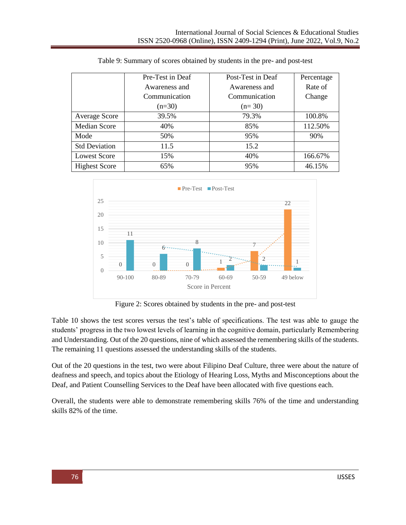|                      | Pre-Test in Deaf | Post-Test in Deaf | Percentage |
|----------------------|------------------|-------------------|------------|
|                      | Awareness and    | Awareness and     | Rate of    |
|                      | Communication    | Communication     | Change     |
|                      | $(n=30)$         | $(n=30)$          |            |
| <b>Average Score</b> | 39.5%            | 79.3%             | 100.8%     |
| Median Score         | 40%              | 85%               | 112.50%    |
| Mode                 | 50%              | 95%               | 90%        |
| <b>Std Deviation</b> | 11.5             | 15.2              |            |
| <b>Lowest Score</b>  | 15%              | 40%               | 166.67%    |
| <b>Highest Score</b> | 65%              | 95%               | 46.15%     |

Table 9: Summary of scores obtained by students in the pre- and post-test



Figure 2: Scores obtained by students in the pre- and post-test

Table 10 shows the test scores versus the test's table of specifications. The test was able to gauge the students' progress in the two lowest levels of learning in the cognitive domain, particularly Remembering and Understanding. Out of the 20 questions, nine of which assessed the remembering skills of the students. The remaining 11 questions assessed the understanding skills of the students.

Out of the 20 questions in the test, two were about Filipino Deaf Culture, three were about the nature of deafness and speech, and topics about the Etiology of Hearing Loss, Myths and Misconceptions about the Deaf, and Patient Counselling Services to the Deaf have been allocated with five questions each.

Overall, the students were able to demonstrate remembering skills 76% of the time and understanding skills 82% of the time.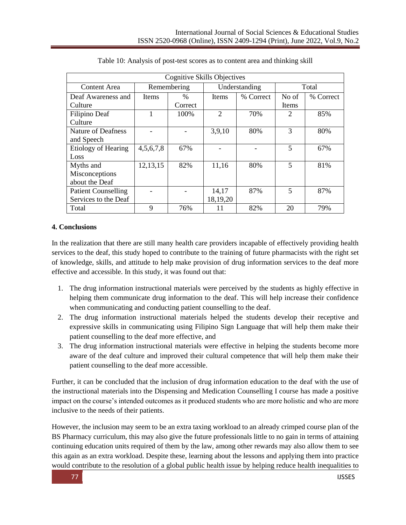| <b>Cognitive Skills Objectives</b> |             |         |                |               |                |           |  |  |  |  |  |
|------------------------------------|-------------|---------|----------------|---------------|----------------|-----------|--|--|--|--|--|
| Content Area                       | Remembering |         |                | Understanding | Total          |           |  |  |  |  |  |
| Deaf Awareness and                 | Items       | $\%$    | Items          | % Correct     | No of          | % Correct |  |  |  |  |  |
| Culture                            |             | Correct |                |               | Items          |           |  |  |  |  |  |
| Filipino Deaf                      |             | 100%    | $\overline{2}$ | 70%           | $\overline{2}$ | 85%       |  |  |  |  |  |
| Culture                            |             |         |                |               |                |           |  |  |  |  |  |
| Nature of Deafness                 |             |         | 3,9,10         | 80%           | 3              | 80%       |  |  |  |  |  |
| and Speech                         |             |         |                |               |                |           |  |  |  |  |  |
| Etiology of Hearing                | 4,5,6,7,8   | 67%     |                |               | 5              | 67%       |  |  |  |  |  |
| Loss                               |             |         |                |               |                |           |  |  |  |  |  |
| Myths and                          | 12, 13, 15  | 82%     | 11,16          | 80%           | 5              | 81%       |  |  |  |  |  |
| Misconceptions                     |             |         |                |               |                |           |  |  |  |  |  |
| about the Deaf                     |             |         |                |               |                |           |  |  |  |  |  |
| <b>Patient Counselling</b>         |             |         | 14,17          | 87%           | $\overline{5}$ | 87%       |  |  |  |  |  |
| Services to the Deaf               |             |         | 18,19,20       |               |                |           |  |  |  |  |  |
| Total                              | 9           | 76%     | 11             | 82%           | 20             | 79%       |  |  |  |  |  |

|  | Table 10: Analysis of post-test scores as to content area and thinking skill |  |  |  |  |
|--|------------------------------------------------------------------------------|--|--|--|--|
|  |                                                                              |  |  |  |  |

#### **4. Conclusions**

In the realization that there are still many health care providers incapable of effectively providing health services to the deaf, this study hoped to contribute to the training of future pharmacists with the right set of knowledge, skills, and attitude to help make provision of drug information services to the deaf more effective and accessible. In this study, it was found out that:

- 1. The drug information instructional materials were perceived by the students as highly effective in helping them communicate drug information to the deaf. This will help increase their confidence when communicating and conducting patient counselling to the deaf.
- 2. The drug information instructional materials helped the students develop their receptive and expressive skills in communicating using Filipino Sign Language that will help them make their patient counselling to the deaf more effective, and
- 3. The drug information instructional materials were effective in helping the students become more aware of the deaf culture and improved their cultural competence that will help them make their patient counselling to the deaf more accessible.

Further, it can be concluded that the inclusion of drug information education to the deaf with the use of the instructional materials into the Dispensing and Medication Counselling I course has made a positive impact on the course's intended outcomes as it produced students who are more holistic and who are more inclusive to the needs of their patients.

However, the inclusion may seem to be an extra taxing workload to an already crimped course plan of the BS Pharmacy curriculum, this may also give the future professionals little to no gain in terms of attaining continuing education units required of them by the law, among other rewards may also allow them to see this again as an extra workload. Despite these, learning about the lessons and applying them into practice would contribute to the resolution of a global public health issue by helping reduce health inequalities to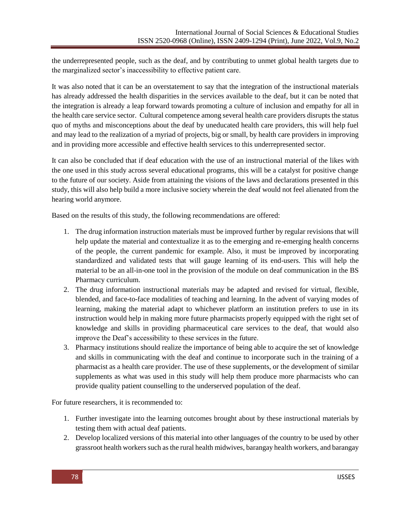the underrepresented people, such as the deaf, and by contributing to unmet global health targets due to the marginalized sector's inaccessibility to effective patient care.

It was also noted that it can be an overstatement to say that the integration of the instructional materials has already addressed the health disparities in the services available to the deaf, but it can be noted that the integration is already a leap forward towards promoting a culture of inclusion and empathy for all in the health care service sector. Cultural competence among several health care providers disrupts the status quo of myths and misconceptions about the deaf by uneducated health care providers, this will help fuel and may lead to the realization of a myriad of projects, big or small, by health care providers in improving and in providing more accessible and effective health services to this underrepresented sector.

It can also be concluded that if deaf education with the use of an instructional material of the likes with the one used in this study across several educational programs, this will be a catalyst for positive change to the future of our society. Aside from attaining the visions of the laws and declarations presented in this study, this will also help build a more inclusive society wherein the deaf would not feel alienated from the hearing world anymore.

Based on the results of this study, the following recommendations are offered:

- 1. The drug information instruction materials must be improved further by regular revisions that will help update the material and contextualize it as to the emerging and re-emerging health concerns of the people, the current pandemic for example. Also, it must be improved by incorporating standardized and validated tests that will gauge learning of its end-users. This will help the material to be an all-in-one tool in the provision of the module on deaf communication in the BS Pharmacy curriculum.
- 2. The drug information instructional materials may be adapted and revised for virtual, flexible, blended, and face-to-face modalities of teaching and learning. In the advent of varying modes of learning, making the material adapt to whichever platform an institution prefers to use in its instruction would help in making more future pharmacists properly equipped with the right set of knowledge and skills in providing pharmaceutical care services to the deaf, that would also improve the Deaf's accessibility to these services in the future.
- 3. Pharmacy institutions should realize the importance of being able to acquire the set of knowledge and skills in communicating with the deaf and continue to incorporate such in the training of a pharmacist as a health care provider. The use of these supplements, or the development of similar supplements as what was used in this study will help them produce more pharmacists who can provide quality patient counselling to the underserved population of the deaf.

For future researchers, it is recommended to:

- 1. Further investigate into the learning outcomes brought about by these instructional materials by testing them with actual deaf patients.
- 2. Develop localized versions of this material into other languages of the country to be used by other grassroot health workers such as the rural health midwives, barangay health workers, and barangay